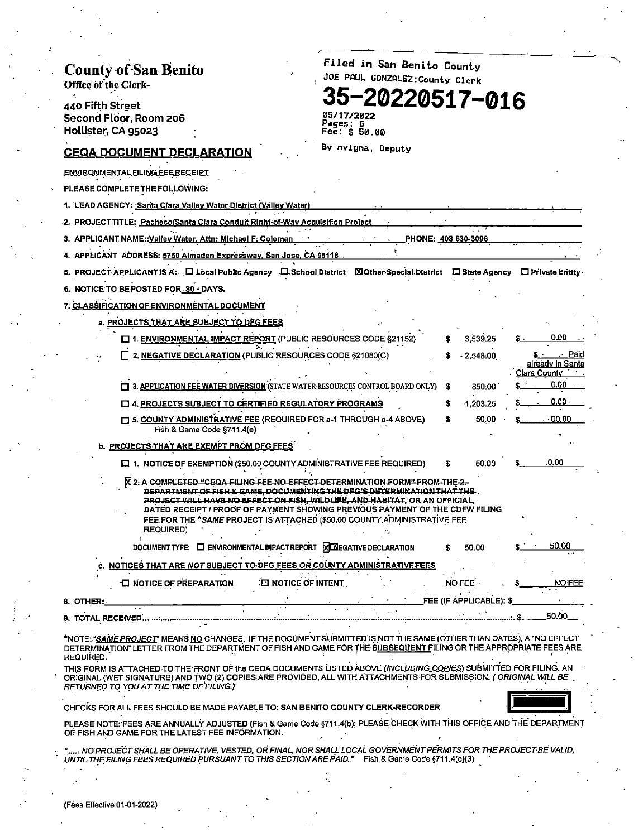| <b>County of San Benito</b><br>Office of the Clerk-                                                                                                                                                                                                                                                                                            | Filed in San Benito County<br>JOE PAUL GONZALEZ:County Clerk                                                                                                                                                                                          |
|------------------------------------------------------------------------------------------------------------------------------------------------------------------------------------------------------------------------------------------------------------------------------------------------------------------------------------------------|-------------------------------------------------------------------------------------------------------------------------------------------------------------------------------------------------------------------------------------------------------|
| 440 Fifth Street<br>Second Floor, Room 206<br>Hollister, CA 95023                                                                                                                                                                                                                                                                              | 35-20220517-016<br>05/17/2022<br>Pages: 6<br><b>Fee: \$ 50.00</b>                                                                                                                                                                                     |
| <u>CEQA DOCUMENT DECLARATION</u>                                                                                                                                                                                                                                                                                                               | By nvigna, Deputy                                                                                                                                                                                                                                     |
| <u>ENVIRONMENTAL FILING FEE RECEIPT</u>                                                                                                                                                                                                                                                                                                        |                                                                                                                                                                                                                                                       |
| PLEASE COMPLETE THE FOLLOWING:                                                                                                                                                                                                                                                                                                                 |                                                                                                                                                                                                                                                       |
| 1. LEAD AGENCY: <u>-Santa Clara Valley Water District (Valley Water)</u>                                                                                                                                                                                                                                                                       |                                                                                                                                                                                                                                                       |
| 2. PROJECTTITLE: Pacheco/Santa Clara Conduit Right-of-Way Acquisition Project                                                                                                                                                                                                                                                                  |                                                                                                                                                                                                                                                       |
| 3. APPLICANT NAME::Valley Water, Attn: Michael F. Coleman                                                                                                                                                                                                                                                                                      | PHONE: 408 630-3096                                                                                                                                                                                                                                   |
| 4. APPLICANT ADDRESS: 5750 Almaden Expressway, San Jose, CA 95118                                                                                                                                                                                                                                                                              |                                                                                                                                                                                                                                                       |
|                                                                                                                                                                                                                                                                                                                                                | 5. PROJECT APPLICANTIS A: 口 Local Public Agency 口 School District 図Other Special District 口 State Agency 口 Private Entity                                                                                                                             |
| 6. NOTICE TO BE POSTED FOR 30 - DAYS.                                                                                                                                                                                                                                                                                                          |                                                                                                                                                                                                                                                       |
| 7. CLASSIFICATION OF ENVIRONMENTAL DOCUMENT                                                                                                                                                                                                                                                                                                    |                                                                                                                                                                                                                                                       |
| a. PROJECTS THAT ARE SUBJECT TO DFG FEES                                                                                                                                                                                                                                                                                                       |                                                                                                                                                                                                                                                       |
| 1. ENVIRONMENTAL IMPACT REPORT (PUBLIC RESOURCES CODE §21152)                                                                                                                                                                                                                                                                                  | 0.00<br>3,539.25                                                                                                                                                                                                                                      |
| 2. NEGATIVE DECLARATION (PUBLIC RESOURCES CODE §21080(C)                                                                                                                                                                                                                                                                                       | s · Paid<br>$-2,548.00$<br>already in Santa<br>Clara County in the                                                                                                                                                                                    |
| [ 3. APPLICATION FEE WATER DIVERSION (STATE WATER RESOURCES CONTROL BOARD ONLY)                                                                                                                                                                                                                                                                | 0.00<br>- 3<br>850.00                                                                                                                                                                                                                                 |
| <b>E 4. PROJECTS SUBJECT TO CERTIFIED REGULATORY PROGRAMS</b>                                                                                                                                                                                                                                                                                  | $0.00 \cdot$<br>1,203.25<br>S                                                                                                                                                                                                                         |
| [ ] 5. COUNTY ADMINISTRATIVE FEE (REQUIRED FOR a-1 THROUGH a-4 ABOVE)<br>Fish & Game Code §711.4(e)                                                                                                                                                                                                                                            | $0.00 \cdot$<br>50.00<br>s                                                                                                                                                                                                                            |
| <b>b. PROJECTS THAT ARE EXEMPT FROM DFG FEES</b>                                                                                                                                                                                                                                                                                               |                                                                                                                                                                                                                                                       |
| [ 1. NOTICE OF EXEMPTION (\$50.00 COUNTY ADMINISTRATIVE FEE REQUIRED)                                                                                                                                                                                                                                                                          | 0.00<br>50.00<br>S                                                                                                                                                                                                                                    |
| XI 2. A COMPLETED "CEQA FILING FEE NO EFFECT DETERMINATION FORM" FROM THE 2.<br>DEPARTMENT OF FISH & GAME. DOCUMENTING THE DEG'S DETERMINATION THAT THE.<br><b>PROJECT WILL HAVE NO EFFECT ON FISH, WILDLIFE, AND HABITAT, OR AN OFFICIAL,</b><br>FEE FOR THE *SAME PROJECT IS ATTACHED (\$50.00 COUNTY ADMINISTRATIVE FEE<br><b>REQUIRED)</b> | DATED RECEIPT / PROOF OF PAYMENT SHOWING PREVIOUS PAYMENT OF THE CDFW FILING                                                                                                                                                                          |
| DOCUMENT TYPE:  L ENVIRONMENTAL IMPACT REPORT   X LA EGATIVE DECLARATION                                                                                                                                                                                                                                                                       | 50.00<br>50.00                                                                                                                                                                                                                                        |
| NOTICES THAT ARE NOT SUBJECT TO DFG FEES OR COUNTY ADMINISTRATIVE FEES                                                                                                                                                                                                                                                                         |                                                                                                                                                                                                                                                       |
| <b>I NOTICE OF PREPARATION</b><br><b>EI NOTICE OF INTENT</b>                                                                                                                                                                                                                                                                                   | NO FEE<br>NO FEE                                                                                                                                                                                                                                      |
| 8. OTHER:_                                                                                                                                                                                                                                                                                                                                     | FEE (IF APPLICABLE): \$                                                                                                                                                                                                                               |
|                                                                                                                                                                                                                                                                                                                                                | 50.00                                                                                                                                                                                                                                                 |
| REQUIRED.                                                                                                                                                                                                                                                                                                                                      | *NOTE: <i>*SAME PROJECT</i> " MEANS <u>NO</u> CHANGES. IF THE DOCUMENT SUBMITTED IS NOT THE SAME (OTHER THAN DATES), A *NO EFFECT<br>DETERMINATION" LETTER FROM THE DEPARTMENT OF FISH AND GAME FOR THE SUBSEQUENT FILING OR THE APPROPRIATE FEES ARE |
| RETURNED TO YOU AT THE TIME OF FILING.)                                                                                                                                                                                                                                                                                                        | THIS FORM IS ATTACHED TO THE FRONT OF the CEQA DOCUMENTS LISTED ABOVE (INCLUDING COPIES) SUBMITTED FOR FILING. AN<br>ORIGINAL (WET SIGNATURE) AND TWO (2) COPIES ARE PROVIDED, ALL WITH ATTACHMENTS FOR SUBMISSION. (ORIGINAL WILL BE                 |
| CHECKS FOR ALL FEES SHOULD BE MADE PAYABLE TO: SAN BENITO COUNTY CLERK-RECORDER                                                                                                                                                                                                                                                                |                                                                                                                                                                                                                                                       |
| OF FISH AND GAME FOR THE LATEST FEE INFORMATION.                                                                                                                                                                                                                                                                                               | PLEASE NOTE: FEES ARE ANNUALLY ADJUSTED (Fish & Game Code §711,4(b); PLEASE CHECK WITH THIS OFFICE AND THE DEPARTMENT                                                                                                                                 |
| UNTIL THE FILING FEES REQUIRED PURSUANT TO THIS SECTION ARE PAID." Fish & Game Code §711.4(c)(3)                                                                                                                                                                                                                                               | NO PROJECT SHALL BE OPERATIVE, VESTED, OR FINAL, NOR SHALL LOCAL GOVERNMENT PERMITS FOR THE PROJECT BE VALID,                                                                                                                                         |
|                                                                                                                                                                                                                                                                                                                                                |                                                                                                                                                                                                                                                       |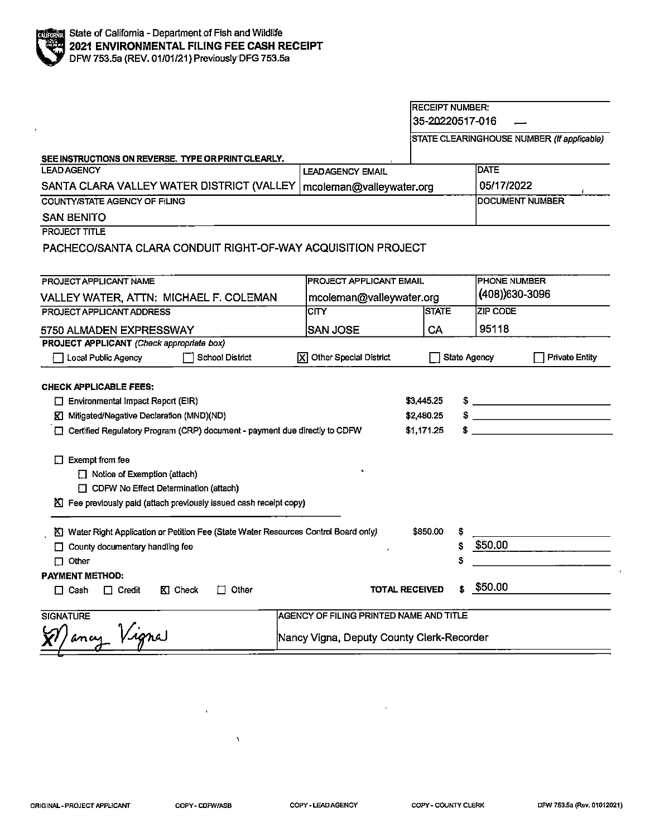#### RECEIPT NUMBER:  $35 - 20220517 - 016$  -

STATE CLEARINGHOUSE NUMBER (If applicable)

| SEE INSTRUCTIONS ON REVERSE. TYPE OR PRINT CLEARLY.                                                                                                                                                                        |                                           |                                        |                                                |
|----------------------------------------------------------------------------------------------------------------------------------------------------------------------------------------------------------------------------|-------------------------------------------|----------------------------------------|------------------------------------------------|
| <b>LEAD AGENCY</b>                                                                                                                                                                                                         | <b>LEADAGENCY EMAIL</b>                   |                                        | <b>DATE</b>                                    |
| SANTA CLARA VALLEY WATER DISTRICT (VALLEY<br>mcoleman@valleywater.org                                                                                                                                                      |                                           |                                        | 05/17/2022                                     |
| COUNTY/STATE AGENCY OF FILING                                                                                                                                                                                              |                                           |                                        | <b>DOCUMENT NUMBER</b>                         |
| <b>SAN BENITO</b>                                                                                                                                                                                                          |                                           |                                        |                                                |
| <b>PROJECT TITLE</b>                                                                                                                                                                                                       |                                           |                                        |                                                |
| PACHECO/SANTA CLARA CONDUIT RIGHT-OF-WAY ACQUISITION PROJECT                                                                                                                                                               |                                           |                                        |                                                |
|                                                                                                                                                                                                                            |                                           |                                        |                                                |
| PROJECT APPLICANT NAME                                                                                                                                                                                                     | <b>PROJECT APPLICANT EMAIL</b>            |                                        | <b>PHONE NUMBER</b>                            |
| VALLEY WATER, ATTN: MICHAEL F. COLEMAN                                                                                                                                                                                     | mcoleman@valleywater.org                  |                                        | $(408)$ 630-3096                               |
| PROJECT APPLICANT ADDRESS                                                                                                                                                                                                  | <b>CITY</b>                               | <b>STATE</b>                           | <b>ZIP CODE</b>                                |
| 5750 ALMADEN EXPRESSWAY                                                                                                                                                                                                    | <b>SAN JOSE</b>                           | CA                                     | 95118                                          |
| PROJECT APPLICANT (Check appropriate box)                                                                                                                                                                                  |                                           |                                        |                                                |
| Local Public Agency<br><b>School District</b>                                                                                                                                                                              | X Other Special District                  | State Agency                           | <b>Private Entity</b>                          |
| <b>CHECK APPLICABLE FEES:</b><br>Environmental Impact Report (EIR)<br>K Mitigated/Negative Declaration (MND)(ND)<br>□ Certified Regulatory Program (CRP) document - payment due directly to CDFW<br>$\Box$ Exempt from fee |                                           | \$3,445.25<br>\$2,480.25<br>\$1,171.25 | <u> The Communication of the Communication</u> |
| Notice of Exemption (attach)                                                                                                                                                                                               |                                           |                                        |                                                |
| CDFW No Effect Determination (attach)                                                                                                                                                                                      |                                           |                                        |                                                |
| K Fee previously paid (attach previously issued cash receipt copy)                                                                                                                                                         |                                           |                                        |                                                |
| K Water Right Application or Petition Fee (State Water Resources Control Board only)                                                                                                                                       |                                           | \$850.00<br>S                          |                                                |
| □ County documentary handling fee                                                                                                                                                                                          |                                           | \$                                     | \$50.00                                        |
| $\Box$ Other                                                                                                                                                                                                               |                                           | \$                                     |                                                |
| <b>PAYMENT METHOD:</b>                                                                                                                                                                                                     |                                           |                                        |                                                |
| KI Check<br>Other<br>$\Box$ Cash<br>$\Box$ Credit<br>П                                                                                                                                                                     | <b>TOTAL RECEIVED</b>                     | s.                                     | \$50.00                                        |
| <b>SIGNATURE</b>                                                                                                                                                                                                           | AGENCY OF FILING PRINTED NAME AND TITLE   |                                        |                                                |
| (V) ancy Vigna                                                                                                                                                                                                             | Nancy Vigna, Deputy County Clerk-Recorder |                                        |                                                |

Ñ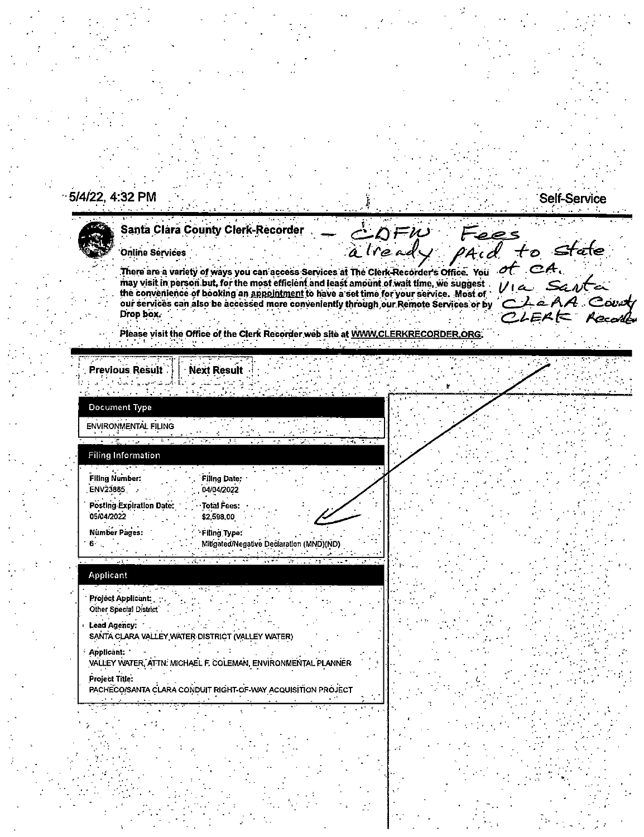## 5/4/22, 4:32 PM



# Santa Clara County Clerk-Recorder

**Online Services** 

There are a variety of ways you can access Services at The Clerk-Recorder's Office. You may visit in person but, for the most efficient and least amount of wait time, we suggest. the convenience of booking an appointment to have a set time for your service. Most of our services can also be accessed more conveniently through our Remote Services or by Drop box.

alread

to Stale of  $CA$ . از د بژ  $4$  Court

 $\rho \geqslant c$ 

**Self-Service** 

Please visit the Office of the Clerk Recorder web site at WWW.CLERKRECORDER.ORG.

**Previous Result** ು

Next Result

| Document Type                                           |                                                                   |
|---------------------------------------------------------|-------------------------------------------------------------------|
| $\overline{\mathcal{L}}$<br><b>ENVIRONMENTAL FILING</b> |                                                                   |
| 2 V<br><b>Filing Information</b>                        | <b>KY</b><br>33<br>an i<br>الأمراء<br>4.8<br>Ъh.<br>ri e ag       |
| <b>Filing Number:</b><br><b>ENV23885</b>                | <b>Filing Date:</b><br>04/04/2022                                 |
| <b>Posting Expiration Date:</b><br>05/04/2022           | ·· Total Fees:<br>\$2,598.00                                      |
| <b>Number Pages:</b>                                    | <b>Filing Type:</b><br>Mitigated/Negative Declaration (MND)(ND)   |
| ार्टी स्क्र<br><b>Applicant</b>                         | <u>ਇਕ ਅਨੁਨਾਨ ਨੂੰ ਦੋਸ਼ ਦੇ ਸ਼ਾਮਦ ਸ਼</u><br><b>WELLER TELEVISION</b> |
| Project Applicant:<br>Other Special District            |                                                                   |

**Lead Agency:** SANTA CLARA VALLEY WATER DISTRICT (VALLEY WATER) Applicant: VALLEY WATER, ATTN. MICHAEL F. COLEMAN, ENVIRONMENTAL PLANNER Project Title:

PACHECO/SANTA CLARA CONDUIT RIGHT-OF-WAY ACQUISITION PROJECT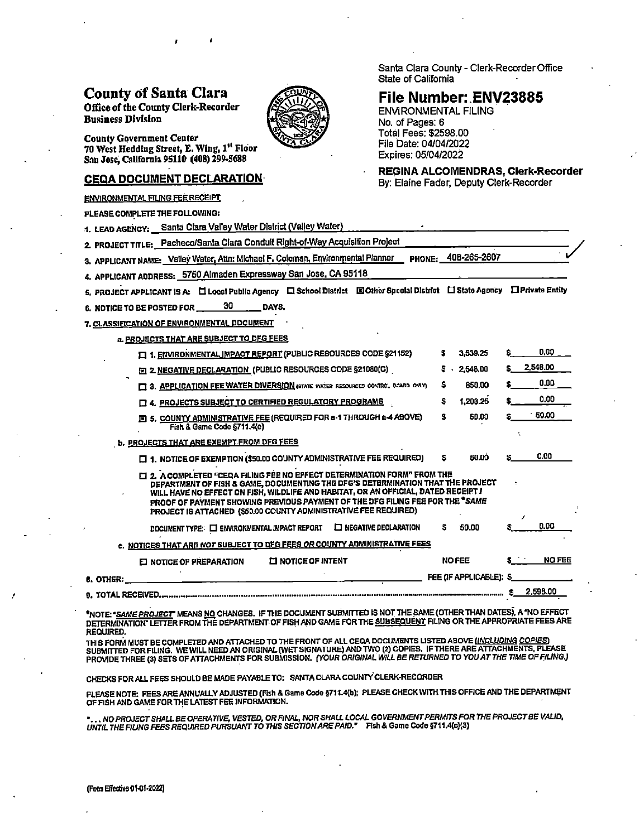### **County of Santa Clara**

Office of the County Clerk-Recorder **Business Division** 



**County Government Center** 70 West Hedding Street, E. Wing, 1st Floor San Jose, California 95110 (408) 299-5688

#### **CEQA DOCUMENT DECLARATION**

**ENVIRONMENTAL FILING FEE RECEIPT** 

PLEASE COMPLETE THE FOLLOWING:

1. LEAD AGENCY: Santa Clara Valley Water District (Valley Water)

2. PROJECT TITLE: Pacheco/Santa Clara Conduit Right-of-Way Acquisition Project

3. APPLICANT NAME: Valley Water, Attn: Michael F. Coloman, Environmental Planner PHONE: 40B-265-2607

4. APPLICANT ADDRESS: 5750 Almaden Expressway San Jose, CA 95118

5. PROJECT APPLICANT IS A: □ Local Public Agency □ School District □ Other Special District □ State Agency □ Private Entity

30 6. NOTICE TO BE POSTED FOR DAYS.

7. CLASSIFICATION OF ENVIRONMENTAL DOCUMENT

#### a. PROJECTS THAT ARE SUBJECT TO DEG FEES

| 1. ENVIRONMENTAL IMPACT REPORT (PUBLIC RESOURCES CODE §21152)                                                                                                                                                                                                                                                                                                                                            |   | 3,539.25                |    | 0.00          |
|----------------------------------------------------------------------------------------------------------------------------------------------------------------------------------------------------------------------------------------------------------------------------------------------------------------------------------------------------------------------------------------------------------|---|-------------------------|----|---------------|
| EI 2. NEGATIVE DECLARATION (PUBLIC RESOURCES CODE §21080(C)                                                                                                                                                                                                                                                                                                                                              |   | 2,548.00                | s. | 2,548.00      |
| 3. APPLICATION FEE WATER DIVERSION (STATE WATER RESOURCES CONTROL BOARD ONLY)                                                                                                                                                                                                                                                                                                                            | s | 850.00                  |    | 0.00          |
| D 4. PROJECTS SUBJECT TO CERTIFIED REGULATORY PROGRAMS                                                                                                                                                                                                                                                                                                                                                   | s | 1,203,26                |    | 0.00          |
| 回 5. <u>COUNTY ADMINISTRATIVE FEE</u> (REQUIRED FOR a-1 THROUGH a-4 ABOVE)<br>Fish & Game Code §711.4(e)                                                                                                                                                                                                                                                                                                 | s | 50.00                   |    | 50.00         |
| <b>b. PROJECTS THAT ARE EXEMPT FROM DFG FEES</b>                                                                                                                                                                                                                                                                                                                                                         |   |                         |    |               |
| $\Box$ 1. NOTICE OF EXEMPTION (\$50.00 COUNTY ADMINISTRATIVE FEE REQUIRED)                                                                                                                                                                                                                                                                                                                               | s | 50.00                   | s. | 0.00          |
| [1] 2. A COMPLETED "CEQA FILING FEE NO EFFECT DETERMINATION FORM" FROM THE<br>DEPARTMENT OF FISH & GAME, DOCUMENTING THE DFG'S DETERMINATION THAT THE PROJECT<br>WILL HAVE NO EFFECT ON FISH, WILDLIFE AND HABITAT, OR AN OFFICIAL, DATED RECEIPT /<br>PROOF OF PAYMENT SHOWING PREVIOUS PAYMENT OF THE DFG FILING FEE FOR THE "SAME<br>PROJECT IS ATTACHED (\$50.00 COUNTY ADMINISTRATIVE FEE REQUIRED) |   |                         |    |               |
| $\Box$ NEGATIVE DECLARATION<br>DOCUMENT TYPE: [ ENVIRONMENTAL IMPACT REPORT                                                                                                                                                                                                                                                                                                                              | s | 50.00                   |    | 0.00          |
| c. NOTICES THAT ARE NOT SUBJECT TO DFG FEES OR COUNTY ADMINISTRATIVE FEES                                                                                                                                                                                                                                                                                                                                |   |                         |    |               |
| <b>EI NOTICE OF INTENT</b><br><b>EI NOTICE OF PREPARATION</b>                                                                                                                                                                                                                                                                                                                                            |   | <b>NO FEE</b>           |    | <b>NO FEE</b> |
| 6. OTHER:                                                                                                                                                                                                                                                                                                                                                                                                |   | FEE (IF APPLICABLE): \$ |    |               |
|                                                                                                                                                                                                                                                                                                                                                                                                          |   |                         |    | 2,598.00      |

\*NOTE: "SAME PROJECT" MEANS NO CHANGES. IF THE DOCUMENT SUBMITTED IS NOT THE SAME (OTHER THAN DATES), A "NO EFFECT DETERMINATION" LETTER FROM THE DEPARTMENT OF FISH AND GAME FOR THE SUBSEQUENT FILING OR THE APPROPRIATE FEES ARE **REQUIRED.** 

THIS FORM MUST BE COMPLETED AND ATTACHED TO THE FRONT OF ALL CEQA DOCUMENTS LISTED ABOVE (INCLUDING COPIES)<br>SUBMITTED FOR FILING. WE WILL NEED AN ORIGINAL (WET SIGNATURE) AND TWO (2) COPIES. IF THERE ARE ATTACHMENTS, PLEAS

CHECKS FOR ALL FEES SHOULD BE MADE PAYABLE TO: SANTA CLARA COUNTY CLERK-RECORDER

PLEASE NOTE: FEES ARE ANNUALLY ADJUSTED (Fish & Game Code §711.4(b); PLEASE CHECK WITH THIS OFFICE AND THE DEPARTMENT OF FISH AND GAME FOR THE LATEST FEE INFORMATION.

\*... NO PROJECT SHALL BE OPERATIVE, VESTED, OR FINAL, NOR SHALL LOCAL GOVERNMENT PERMITS FOR THE PROJECT BE VALID,<br>UNTIL THE FILING FEES REQUIRED PURSUANT TO THIS SECTION ARE PAID." FISh & Game Code §711.4(o)(3)

Santa Clara County - Clerk-Recorder Office State of California

### File Number: ENV23885

**ENVIRONMENTAL FILING** No. of Pages: 6 Total Fees: \$2598.00 File Date: 04/04/2022 Expires: 05/04/2022

#### REGINA ALCOMENDRAS, Clerk-Recorder

By: Elaine Fader, Deputy Clerk-Recorder

(Fees Effective 01-01-2022)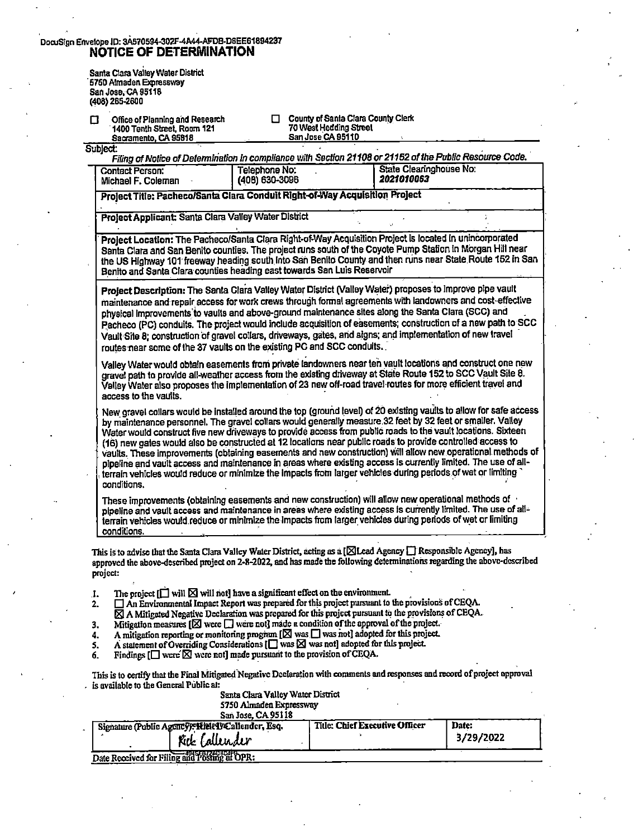| DocuSign Envelope ID: 3A570594-302F-4A44-AFDB-D6EE61894237 |
|------------------------------------------------------------|
| NOTICE OF DETERMINATION                                    |

Santa Clara Valley Water District · 5750 Almaden Expressway San Jose, CA 95118 (408) 265-2600

| ◘ | Office of Planning and Research |
|---|---------------------------------|
|   | 1400 Tenth Street, Room 121     |
|   | Casmonada CA CCO10              |

County of Santa Clara County Clerk 1400 Test Hedding Street<br>San Jose CA 95110

| Sublect:                                                                        | Filing of Notice of Determination in compliance with Section 21108 or 21152 of the Public Resource Code. |                                       |  |  |
|---------------------------------------------------------------------------------|----------------------------------------------------------------------------------------------------------|---------------------------------------|--|--|
| Telephone No:<br><b>Contact Person:</b><br>(408) 630-3096<br>Michael F. Coleman |                                                                                                          | State Clearinghouse No:<br>2021010063 |  |  |
|                                                                                 | Project Title: Pacheco/Santa Clara Conduit Right-of-Way Acquisition Project                              |                                       |  |  |
| Project Applicant: Santa Clara Valley Water District                            |                                                                                                          |                                       |  |  |

· **Project LocaUon:** The Pacheco/Santa Clara Right-of-Way Acquisition Project is located In unincorporated Santa Clara and San Benito counties. The project runs south of the Coyote Pump Station in Morgan Hill near the US Highway 101 freeway heading south into San Benito County and then runs near State Route 152 in San Benito and Santa Clara counties heading east towards San Luis Reservoir

**Project Description:** The Santa Clara Valley Water District (Valley Water) proposes to Improve pipe vault maintenance and repair access for work crews through formal agreements with landowners and cost-effective physical lmprovements'to vaults and above-ground maintenance sttes along the Santa Clara (SCC) and Pacheco (PC) conduits. The project would include acquisition of easements; construction of a new path to SCC Vault Site **8;** construction 'of gravel collars, driveways, gates, and signs; a\_nd implementation of new travel · routes near some of the 37 vaults on the existing PC and SCC conduits.

Valley Water would obtain easements from private landowners near ten vault locations and construct one new gravel path to provide all-weather access from the existing driveway at State Route 152 to SCC Vault Site 8. Valley Water also proposes the implementation of 23 new off-road travel-routes for more efficient travel and access to the vaults.

New gravel collars would be installed around the top (ground level) of 20 existing vaults to allow for safe access by maintenance personnel. The gravel collars would generally measure 32 feet by 32 feet or smaller. Valley Water would construct five new driveways to provide access from public roads to the vault locations. Sixteen (16) new gates would also be constructed at 12 locations near public roads to provide controlled access to vaults •. These Improvements (obtaining easements and new construction) will allow new operational.methods of pipeline and vault access and maintenance in areas where existing access ls currently limited. The use of allterrain vehicles would reduce or minimize the Impacts from larger vehicles during periods of wet or limiting conditions.

These improvements (obtaining easements and new construction) will allow new operational methods of · pipeline and vault access and maintenance in areas where existing access is currently limited. The use of allterrain vehicles would.reduce or minimize the impacts from larger. vehicles during periods of wet or limiting conditions. . \_ · • •

This is to advise that the Santa Clara Valley Water District, acting as a [**[8] Lead Agency D** Responsible Agency], has approved the above-described project on 2-8-2022, and has made the following determinations regarding the above-described project:

- J. The project  $[\Box]$  will  $\boxtimes$  will not] have a significant effect on the environment.<br>2.  $\Box$  An Environmental Impact Report was prepared for this project pursuant to
- An Environmental Impact Report was prepared for this project pursuant to the provisions of CEQA.
- A Mitigated Negative Declaration was prepared for this project pursuant to the provisions of CEQA.
- 3. Mitigation measures  $[2]$  were  $\Box$  were not] made a condition of the approval of the project.<br>4. A mitigation reporting or monitoring program  $[2]$  was  $\Box$  was not] adopted for this project.
- 4. A mitigation reporting or monitoring program  $[\boxtimes]$  was  $\Box$  was not] adopted for this project.<br>5. A statement of Overriding Considerations  $[\Box]$  was  $[\boxtimes]$  was not] adopted for this project.
- 5. A statement of Overriding Considerations  $\left[\prod_{n=1}^{\infty}$  was  $\log n$  adopted for this project.<br>6. Findings  $\left[\prod_{n=1}^{\infty}$  were not made pursuant to the provision of CEOA.

Findings  $[\Box]$  were  $\boxtimes$  were not] made pursuant to the provision of CEQA.

This is to certify that the Final Mitigated Negativc Declaration with comments and responses and record of project approval . is available to the General Public at:

| Santa Clara Valley Water District |
|-----------------------------------|
| 5750 Almaden Expressway           |
| $C_{\text{min}}$ Tass $C_A$ OS110 |

| San Jose, CA 95118                                |                                |           |  |
|---------------------------------------------------|--------------------------------|-----------|--|
| Signature (Public Agency): Riek I Callender, Esq. | Title: Chief Executive Officer | Date:     |  |
| Rik Callender                                     |                                | 3/29/2022 |  |
| Date Received for Filing and Posting at OPR:      |                                |           |  |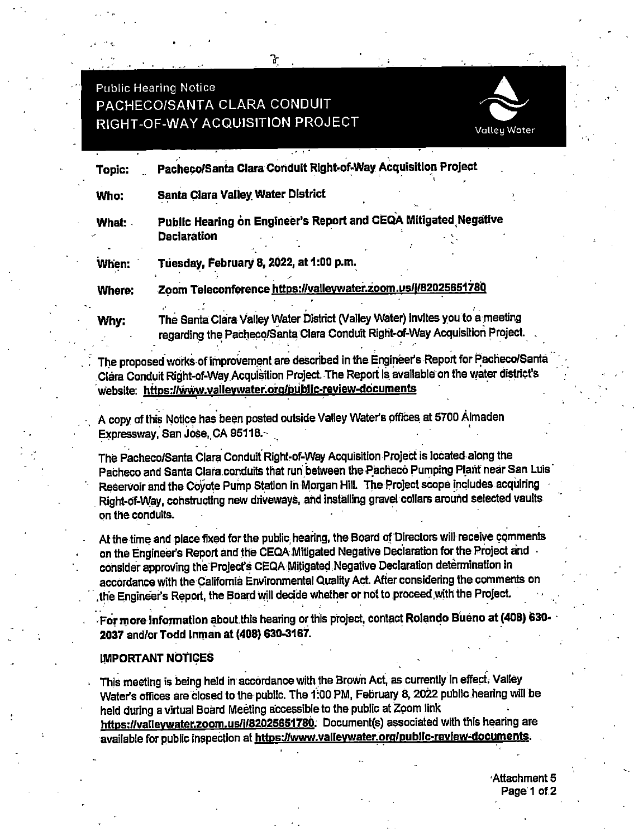**Public Hearing Notice** 

# PACHECO/SANTA CLARA CONDUIT RIGHT-OF-WAY ACQUISITION PROJECT



Pacheco/Santa Clara Conduit Right-of-Way Acquisition Project Topic:

ጉ

**Santa Clara Valley Water District** Who:

Public Hearing on Engineer's Report and CEQA Mitigated Negative What: **Declaration** 

Tuesday, February 8, 2022, at 1:00 p.m. When:

Zoom Teleconference https://valleywater.zoom.us/i/82025651780 Where:

Why:

The Santa Clara Valley Water District (Valley Water) invites you to a meeting regarding the Pacheco/Santa Clara Conduit Right-of-Way Acquisition Proiect.

The proposed works of improvement are described in the Engineer's Report for Pacheco/Santa Clara Conduit Right-of-Way Acquisition Project. The Report Is available on the water district's website: https://www.valleywater.org/public-review-documents

A copy of this Notice has been posted outside Valley Water's offices at 5700 Almaden Expressway, San Jose, CA 95118.

The Pacheco/Santa Clara Conduit Right-of-Way Acquisition Project is located along the Pacheco and Santa Clara conduits that run between the Pacheco Pumping Plant near San Luis Reservoir and the Coyote Pump Station in Morgan Hill. The Project scope includes acquiring Right-of-Way, constructing new driveways, and installing gravel collars around selected vaults on the conduits.

At the time and place fixed for the public hearing, the Board of Directors will receive comments on the Engineer's Report and the CEQA Mitigated Negative Declaration for the Project and consider approving the Project's CEQA Mitigated Negative Declaration determination in accordance with the California Environmental Quality Act. After considering the comments on the Engineer's Report, the Board will decide whether or not to proceed with the Project.

For more information about this hearing or this project, contact Rolando Bueno at (408) 630-2037 and/or Todd Inman at (408) 630-3167.

#### **IMPORTANT NOTICES**

This meeting is being held in accordance with the Brown Act, as currently in effect. Valley Water's offices are closed to the public. The 1:00 PM, February 8, 2022 public hearing will be held during a virtual Board Meeting accessible to the public at Zoom link

https://valleywater.zoom.us/i/82025651780. Document(s) associated with this hearing are available for public inspection at https://www.valleywater.org/public-review-documents.

> Attachment 5 Page 1 of 2